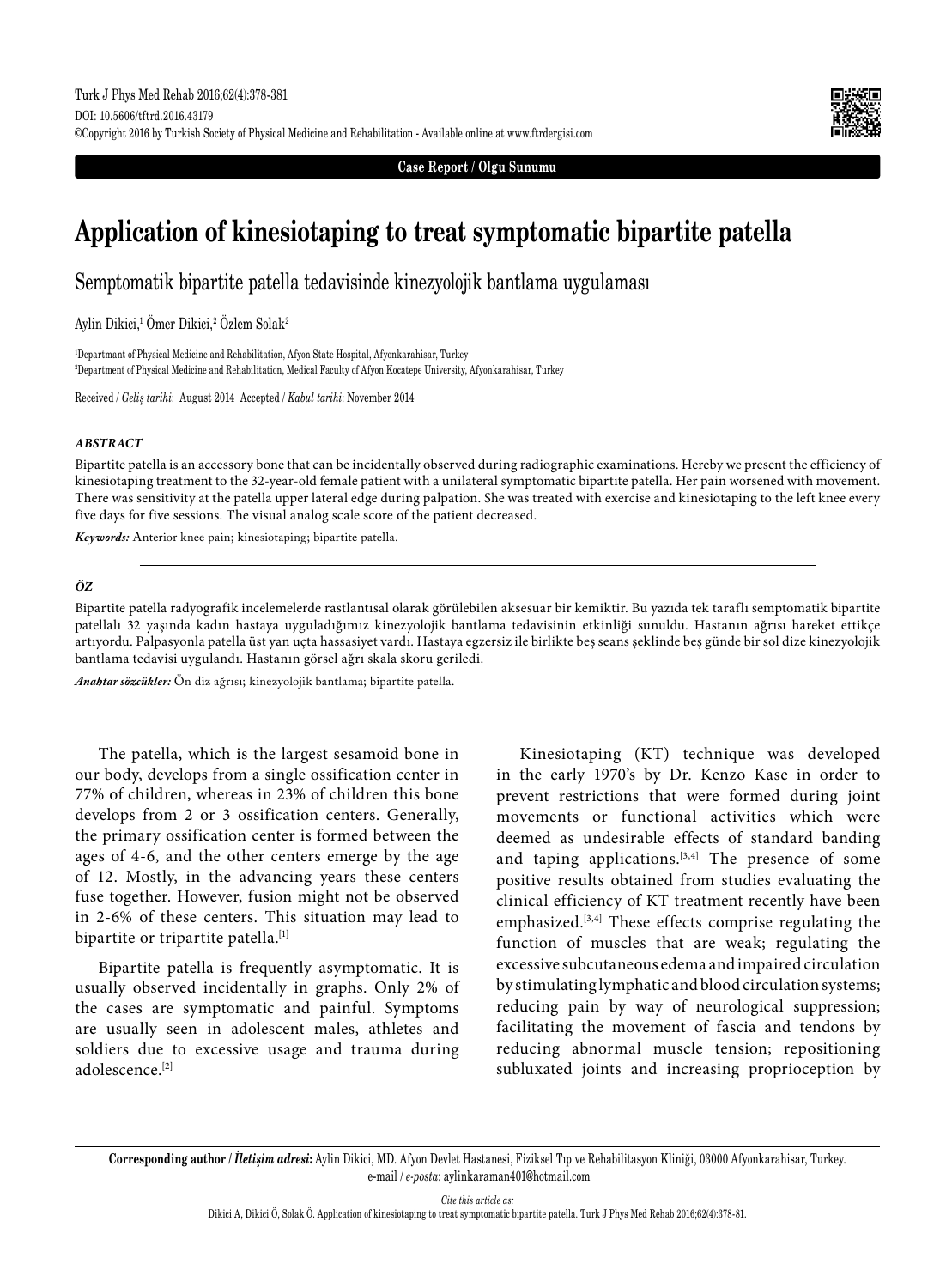

**Case Report / Olgu Sunumu**

# **Application of kinesiotaping to treat symptomatic bipartite patella**

Semptomatik bipartite patella tedavisinde kinezyolojik bantlama uygulaması

Aylin Dikici,<sup>1</sup> Omer Dikici,<sup>2</sup> Ozlem Solak<sup>2</sup>

1 Departmant of Physical Medicine and Rehabilitation, Afyon State Hospital, Afyonkarahisar, Turkey 2 Department of Physical Medicine and Rehabilitation, Medical Faculty of Afyon Kocatepe University, Afyonkarahisar, Turkey

Received / *Geliş tarihi*: August 2014 Accepted / *Kabul tarihi*: November 2014

#### *ABSTRACT*

Bipartite patella is an accessory bone that can be incidentally observed during radiographic examinations. Hereby we present the efficiency of kinesiotaping treatment to the 32-year-old female patient with a unilateral symptomatic bipartite patella. Her pain worsened with movement. There was sensitivity at the patella upper lateral edge during palpation. She was treated with exercise and kinesiotaping to the left knee every five days for five sessions. The visual analog scale score of the patient decreased.

*Keywords:* Anterior knee pain; kinesiotaping; bipartite patella.

### *ÖZ*

Bipartite patella radyografik incelemelerde rastlantısal olarak görülebilen aksesuar bir kemiktir. Bu yazıda tek taraflı semptomatik bipartite patellalı 32 yaşında kadın hastaya uyguladığımız kinezyolojik bantlama tedavisinin etkinliği sunuldu. Hastanın ağrısı hareket ettikçe artıyordu. Palpasyonla patella üst yan uçta hassasiyet vardı. Hastaya egzersiz ile birlikte beş seans şeklinde beş günde bir sol dize kinezyolojik bantlama tedavisi uygulandı. Hastanın görsel ağrı skala skoru geriledi.

*Anahtar sözcükler:* Ön diz ağrısı; kinezyolojik bantlama; bipartite patella.

The patella, which is the largest sesamoid bone in our body, develops from a single ossification center in 77% of children, whereas in 23% of children this bone develops from 2 or 3 ossification centers. Generally, the primary ossification center is formed between the ages of 4-6, and the other centers emerge by the age of 12. Mostly, in the advancing years these centers fuse together. However, fusion might not be observed in 2-6% of these centers. This situation may lead to bipartite or tripartite patella.<sup>[1]</sup>

Bipartite patella is frequently asymptomatic. It is usually observed incidentally in graphs. Only 2% of the cases are symptomatic and painful. Symptoms are usually seen in adolescent males, athletes and soldiers due to excessive usage and trauma during adolescence.[2]

Kinesiotaping (KT) technique was developed in the early 1970's by Dr. Kenzo Kase in order to prevent restrictions that were formed during joint movements or functional activities which were deemed as undesirable effects of standard banding and taping applications.  $[3,4]$  The presence of some positive results obtained from studies evaluating the clinical efficiency of KT treatment recently have been emphasized.<sup>[3,4]</sup> These effects comprise regulating the function of muscles that are weak; regulating the excessive subcutaneous edema and impaired circulation by stimulating lymphatic and blood circulation systems; reducing pain by way of neurological suppression; facilitating the movement of fascia and tendons by reducing abnormal muscle tension; repositioning subluxated joints and increasing proprioception by

*Cite this article as:*

**Corresponding author /** *İletişim adresi***:** Aylin Dikici, MD. Afyon Devlet Hastanesi, Fiziksel Tıp ve Rehabilitasyon Kliniği, 03000 Afyonkarahisar, Turkey. e-mail / *e-posta*: aylinkaraman401@hotmail.com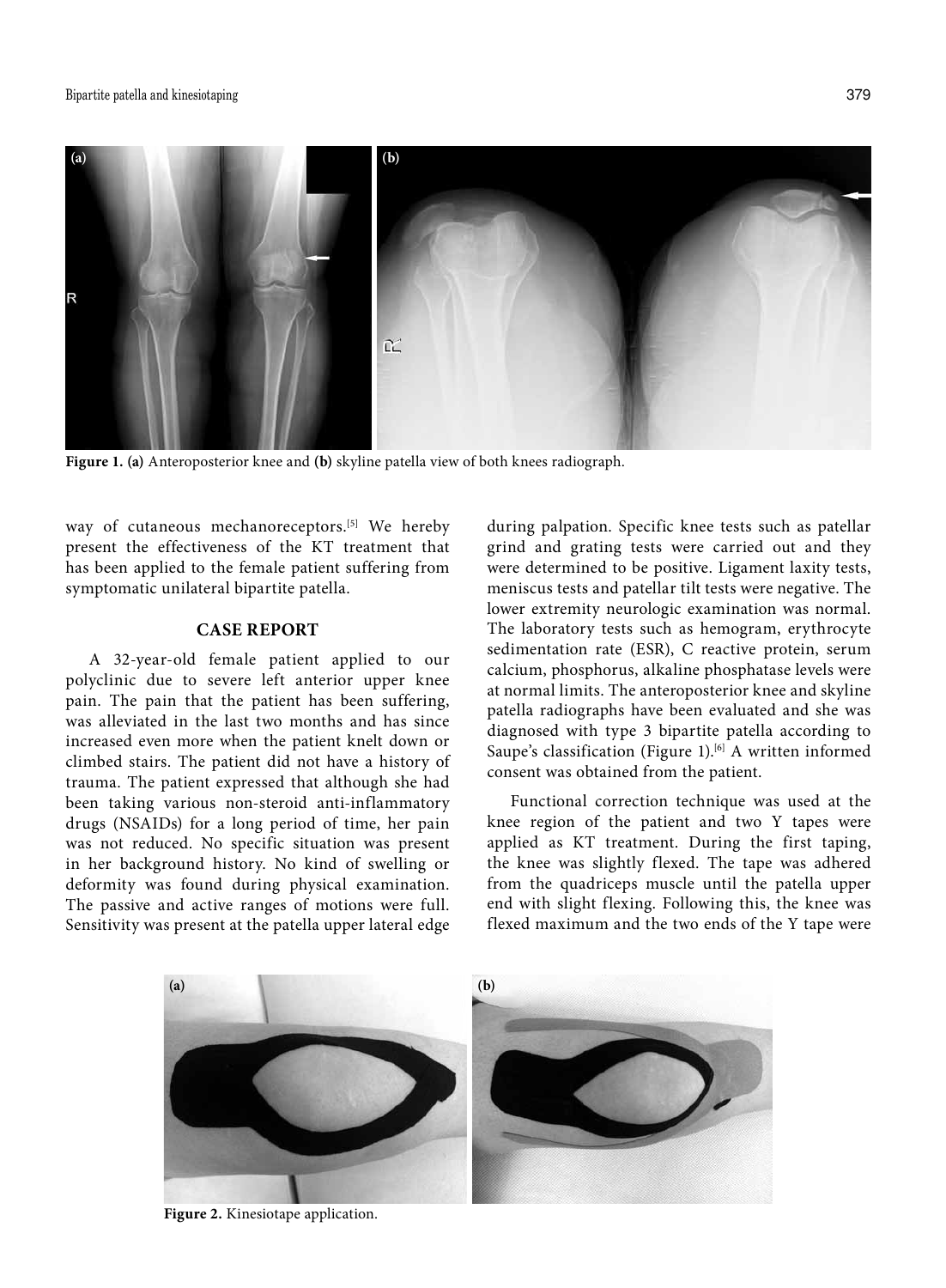

**Figure 1. (a)** Anteroposterior knee and **(b)** skyline patella view of both knees radiograph.

way of cutaneous mechanoreceptors.<sup>[5]</sup> We hereby present the effectiveness of the KT treatment that has been applied to the female patient suffering from symptomatic unilateral bipartite patella.

# **CASE REPORT**

A 32-year-old female patient applied to our polyclinic due to severe left anterior upper knee pain. The pain that the patient has been suffering, was alleviated in the last two months and has since increased even more when the patient knelt down or climbed stairs. The patient did not have a history of trauma. The patient expressed that although she had been taking various non-steroid anti-inflammatory drugs (NSAIDs) for a long period of time, her pain was not reduced. No specific situation was present in her background history. No kind of swelling or deformity was found during physical examination. The passive and active ranges of motions were full. Sensitivity was present at the patella upper lateral edge

during palpation. Specific knee tests such as patellar grind and grating tests were carried out and they were determined to be positive. Ligament laxity tests, meniscus tests and patellar tilt tests were negative. The lower extremity neurologic examination was normal. The laboratory tests such as hemogram, erythrocyte sedimentation rate (ESR), C reactive protein, serum calcium, phosphorus, alkaline phosphatase levels were at normal limits. The anteroposterior knee and skyline patella radiographs have been evaluated and she was diagnosed with type 3 bipartite patella according to Saupe's classification (Figure 1).<sup>[6]</sup> A written informed consent was obtained from the patient.

Functional correction technique was used at the knee region of the patient and two Y tapes were applied as KT treatment. During the first taping, the knee was slightly flexed. The tape was adhered from the quadriceps muscle until the patella upper end with slight flexing. Following this, the knee was flexed maximum and the two ends of the Y tape were



**Figure 2.** Kinesiotape application.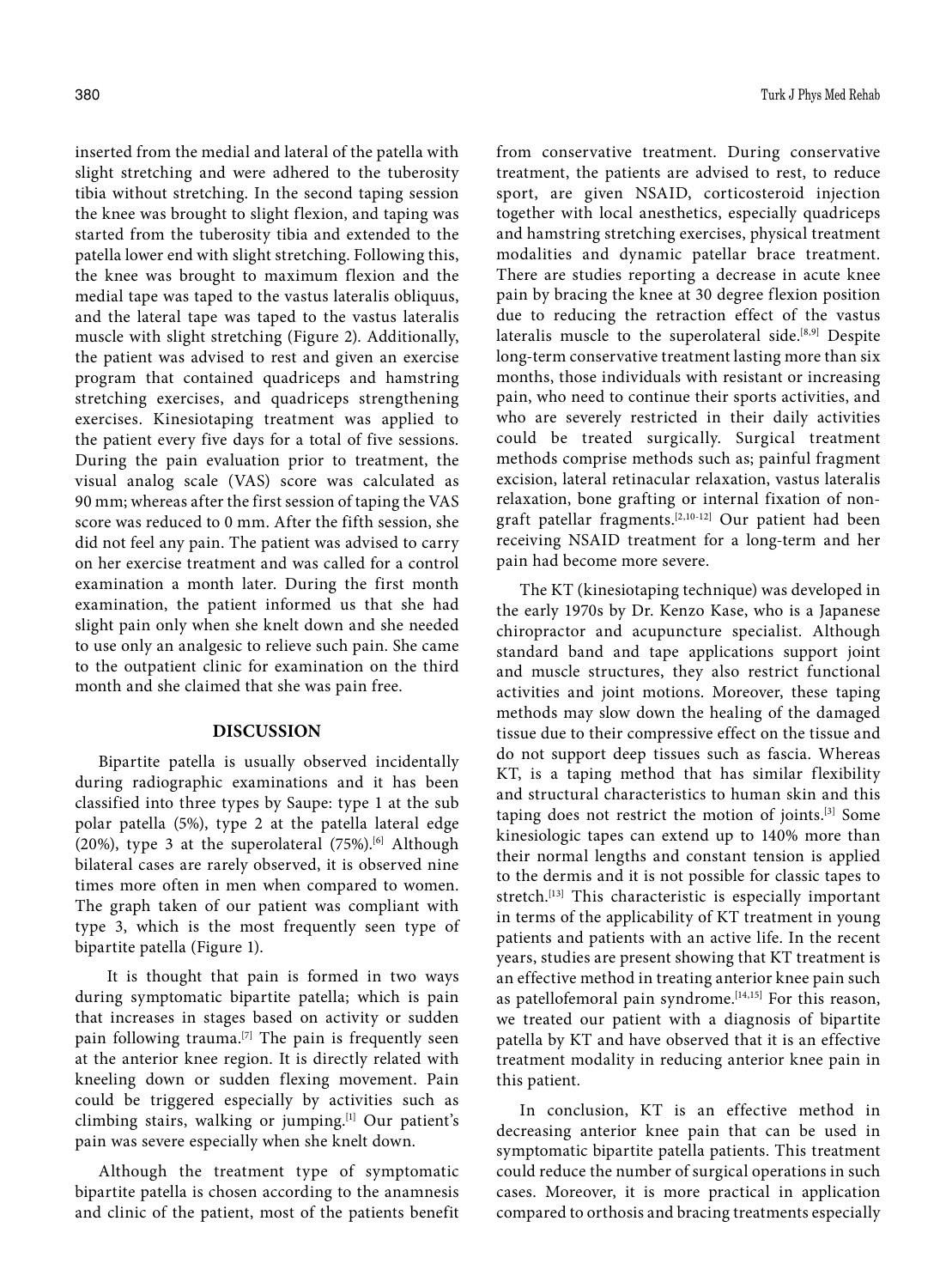inserted from the medial and lateral of the patella with slight stretching and were adhered to the tuberosity tibia without stretching. In the second taping session the knee was brought to slight flexion, and taping was started from the tuberosity tibia and extended to the patella lower end with slight stretching. Following this, the knee was brought to maximum flexion and the medial tape was taped to the vastus lateralis obliquus, and the lateral tape was taped to the vastus lateralis muscle with slight stretching (Figure 2). Additionally, the patient was advised to rest and given an exercise program that contained quadriceps and hamstring stretching exercises, and quadriceps strengthening exercises. Kinesiotaping treatment was applied to the patient every five days for a total of five sessions. During the pain evaluation prior to treatment, the visual analog scale (VAS) score was calculated as 90 mm; whereas after the first session of taping the VAS score was reduced to 0 mm. After the fifth session, she did not feel any pain. The patient was advised to carry on her exercise treatment and was called for a control examination a month later. During the first month examination, the patient informed us that she had slight pain only when she knelt down and she needed to use only an analgesic to relieve such pain. She came to the outpatient clinic for examination on the third month and she claimed that she was pain free.

### **DISCUSSION**

Bipartite patella is usually observed incidentally during radiographic examinations and it has been classified into three types by Saupe: type 1 at the sub polar patella (5%), type 2 at the patella lateral edge (20%), type 3 at the superolateral (75%).<sup>[6]</sup> Although bilateral cases are rarely observed, it is observed nine times more often in men when compared to women. The graph taken of our patient was compliant with type 3, which is the most frequently seen type of bipartite patella (Figure 1).

 It is thought that pain is formed in two ways during symptomatic bipartite patella; which is pain that increases in stages based on activity or sudden pain following trauma.<sup>[7]</sup> The pain is frequently seen at the anterior knee region. It is directly related with kneeling down or sudden flexing movement. Pain could be triggered especially by activities such as climbing stairs, walking or jumping.[1] Our patient's pain was severe especially when she knelt down.

Although the treatment type of symptomatic bipartite patella is chosen according to the anamnesis and clinic of the patient, most of the patients benefit

from conservative treatment. During conservative treatment, the patients are advised to rest, to reduce sport, are given NSAID, corticosteroid injection together with local anesthetics, especially quadriceps and hamstring stretching exercises, physical treatment modalities and dynamic patellar brace treatment. There are studies reporting a decrease in acute knee pain by bracing the knee at 30 degree flexion position due to reducing the retraction effect of the vastus lateralis muscle to the superolateral side.<sup>[8,9]</sup> Despite long-term conservative treatment lasting more than six months, those individuals with resistant or increasing pain, who need to continue their sports activities, and who are severely restricted in their daily activities could be treated surgically. Surgical treatment methods comprise methods such as; painful fragment excision, lateral retinacular relaxation, vastus lateralis relaxation, bone grafting or internal fixation of nongraft patellar fragments.[2,10-12] Our patient had been receiving NSAID treatment for a long-term and her pain had become more severe.

The KT (kinesiotaping technique) was developed in the early 1970s by Dr. Kenzo Kase, who is a Japanese chiropractor and acupuncture specialist. Although standard band and tape applications support joint and muscle structures, they also restrict functional activities and joint motions. Moreover, these taping methods may slow down the healing of the damaged tissue due to their compressive effect on the tissue and do not support deep tissues such as fascia. Whereas KT, is a taping method that has similar flexibility and structural characteristics to human skin and this taping does not restrict the motion of joints.[3] Some kinesiologic tapes can extend up to 140% more than their normal lengths and constant tension is applied to the dermis and it is not possible for classic tapes to stretch.<sup>[13]</sup> This characteristic is especially important in terms of the applicability of KT treatment in young patients and patients with an active life. In the recent years, studies are present showing that KT treatment is an effective method in treating anterior knee pain such as patellofemoral pain syndrome.<sup>[14,15]</sup> For this reason, we treated our patient with a diagnosis of bipartite patella by KT and have observed that it is an effective treatment modality in reducing anterior knee pain in this patient.

In conclusion, KT is an effective method in decreasing anterior knee pain that can be used in symptomatic bipartite patella patients. This treatment could reduce the number of surgical operations in such cases. Moreover, it is more practical in application compared to orthosis and bracing treatments especially